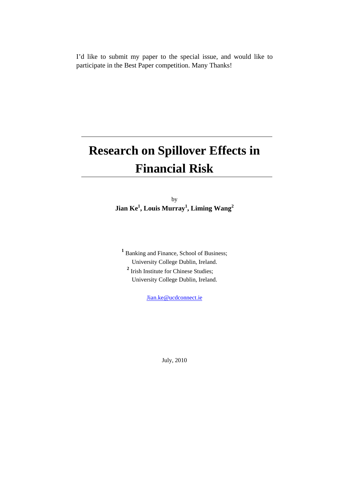I'd like to submit my paper to the special issue, and would like to participate in the Best Paper competition. Many Thanks!

# **Research on Spillover Effects in Financial Risk**

by **Jian Ke1 , Louis Murray1 , Liming Wang<sup>2</sup>**

<sup>1</sup> Banking and Finance, School of Business; University College Dublin, Ireland. **<sup>2</sup>** Irish Institute for Chinese Studies; University College Dublin, Ireland.

[Jian.ke@ucdconnect.ie](mailto:Jian.ke@ucdconnect.ie)

July, 2010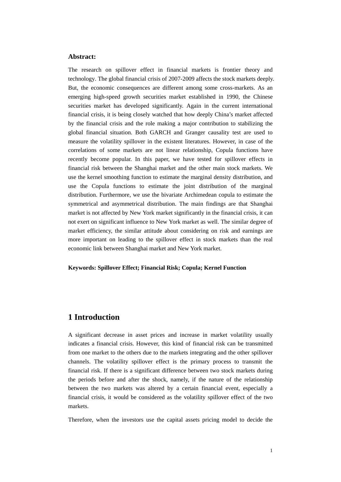## **Abstract:**

The research on spillover effect in financial markets is frontier theory and technology. The global financial crisis of 2007-2009 affects the stock markets deeply. But, the economic consequences are different among some cross-markets. As an emerging high-speed growth securities market established in 1990, the Chinese securities market has developed significantly. Again in the current international financial crisis, it is being closely watched that how deeply China's market affected by the financial crisis and the role making a major contribution to stabilizing the global financial situation. Both GARCH and Granger causality test are used to measure the volatility spillover in the existent literatures. However, in case of the correlations of some markets are not linear relationship, Copula functions have recently become popular. In this paper, we have tested for spillover effects in financial risk between the Shanghai market and the other main stock markets. We use the kernel smoothing function to estimate the marginal density distribution, and use the Copula functions to estimate the joint distribution of the marginal distribution. Furthermore, we use the bivariate Archimedean copula to estimate the symmetrical and asymmetrical distribution. The main findings are that Shanghai market is not affected by New York market significantly in the financial crisis, it can not exert on significant influence to New York market as well. The similar degree of market efficiency, the similar attitude about considering on risk and earnings are more important on leading to the spillover effect in stock markets than the real economic link between Shanghai market and New York market.

#### **Keywords: Spillover Effect; Financial Risk; Copula; Kernel Function**

# **1 Introduction**

A significant decrease in asset prices and increase in market volatility usually indicates a financial crisis. However, this kind of financial risk can be transmitted from one market to the others due to the markets integrating and the other spillover channels. The volatility spillover effect is the primary process to transmit the financial risk. If there is a significant difference between two stock markets during the periods before and after the shock, namely, if the nature of the relationship between the two markets was altered by a certain financial event, especially a financial crisis, it would be considered as the volatility spillover effect of the two markets.

Therefore, when the investors use the capital assets pricing model to decide the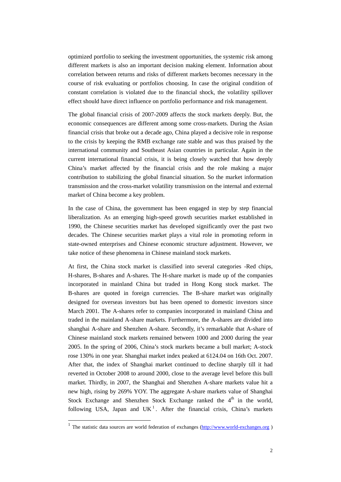optimized portfolio to seeking the investment opportunities, the systemic risk among different markets is also an important decision making element. Information about correlation between returns and risks of different markets becomes necessary in the course of risk evaluating or portfolios choosing. In case the original condition of constant correlation is violated due to the financial shock, the volatility spillover effect should have direct influence on portfolio performance and risk management.

The global financial crisis of 2007-2009 affects the stock markets deeply. But, the economic consequences are different among some cross-markets. During the Asian financial crisis that broke out a decade ago, China played a decisive role in response to the crisis by keeping the RMB exchange rate stable and was thus praised by the international community and Southeast Asian countries in particular. Again in the current international financial crisis, it is being closely watched that how deeply China's market affected by the financial crisis and the role making a major contribution to stabilizing the global financial situation. So the market information transmission and the cross-market volatility transmission on the internal and external market of China become a key problem.

In the case of China, the government has been engaged in step by step financial liberalization. As an emerging high-speed growth securities market established in 1990, the Chinese securities market has developed significantly over the past two decades. The Chinese securities market plays a vital role in promoting reform in state-owned enterprises and Chinese economic structure adjustment. However, we take notice of these phenomena in Chinese mainland stock markets.

At first, the China stock market is classified into several categories -Red chips, H-shares, B-shares and A-shares. The H-share market is made up of the companies incorporated in mainland China but traded in Hong Kong stock market. The B-shares are quoted in foreign currencies. The B-share market was originally designed for overseas investors but has been opened to domestic investors since March 2001. The A-shares refer to companies incorporated in mainland China and traded in the mainland A-share markets. Furthermore, the A-shares are divided into shanghai A-share and Shenzhen A-share. Secondly, it's remarkable that A-share of Chinese mainland stock markets remained between 1000 and 2000 during the year 2005. In the spring of 2006, China's stock markets became a bull market; A-stock rose 130% in one year. Shanghai market index peaked at 6124.04 on 16th Oct. 2007. After that, the index of Shanghai market continued to decline sharply till it had reverted in October 2008 to around 2000, close to the average level before this bull market. Thirdly, in 2007, the Shanghai and Shenzhen A-share markets value hit a new high, rising by 269% YOY. The aggregate A-share markets value of Shanghai Stock Exchange and Shenzhen Stock Exchange ranked the  $4<sup>th</sup>$  in the world, following USA, Japan and UK<sup>[1](#page-2-0)</sup>. After the financial crisis, China's markets

 $\overline{a}$ 

<span id="page-2-0"></span><sup>&</sup>lt;sup>1</sup> The statistic data sources are world federation of exchanges ( $\frac{http://www.world-exchanges.org}{http://www.world-exchanges.org}$ )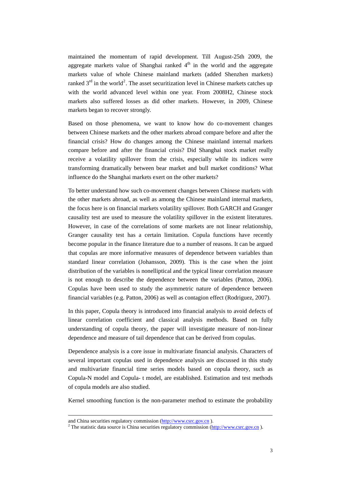maintained the momentum of rapid development. Till August-25th 2009, the aggregate markets value of Shanghai ranked  $4<sup>th</sup>$  in the world and the aggregate markets value of whole Chinese mainland markets (added Shenzhen markets) ranked  $3<sup>rd</sup>$  in the world<sup>[2](#page-3-0)</sup>. The asset securitization level in Chinese markets catches up with the world advanced level within one year. From 2008H2, Chinese stock markets also suffered losses as did other markets. However, in 2009, Chinese markets began to recover strongly.

Based on those phenomena, we want to know how do co-movement changes between Chinese markets and the other markets abroad compare before and after the financial crisis? How do changes among the Chinese mainland internal markets compare before and after the financial crisis? Did Shanghai stock market really receive a volatility spillover from the crisis, especially while its indices were transforming dramatically between bear market and bull market conditions? What influence do the Shanghai markets exert on the other markets?

To better understand how such co-movement changes between Chinese markets with the other markets abroad, as well as among the Chinese mainland internal markets, the focus here is on financial markets volatility spillover. Both GARCH and Granger causality test are used to measure the volatility spillover in the existent literatures. However, in case of the correlations of some markets are not linear relationship, Granger causality test has a certain limitation. Copula functions have recently become popular in the finance literature due to a number of reasons. It can be argued that copulas are more informative measures of dependence between variables than standard linear correlation (Johansson, 2009). This is the case when the joint distribution of the variables is nonelliptical and the typical linear correlation measure is not enough to describe the dependence between the variables (Patton, 2006). Copulas have been used to study the asymmetric nature of dependence between financial variables (e.g. Patton, 2006) as well as contagion effect (Rodriguez, 2007).

In this paper, Copula theory is introduced into financial analysis to avoid defects of linear correlation coefficient and classical analysis methods. Based on fully understanding of copula theory, the paper will investigate measure of non-linear dependence and measure of tail dependence that can be derived from copulas.

Dependence analysis is a core issue in multivariate financial analysis. Characters of several important copulas used in dependence analysis are discussed in this study and multivariate financial time series models based on copula theory, such as Copula-N model and Copula- t model, are established. Estimation and test methods of copula models are also studied.

Kernel smoothing function is the non-parameter method to estimate the probability

<u>.</u>

<span id="page-3-0"></span>

and China securities regulatory commission [\(http://www.csrc.gov.cn](http://www.csrc.gov.cn/)).<br><sup>2</sup> The statistic data source is China securities regulatory commission (http://www.csrc.gov.cn).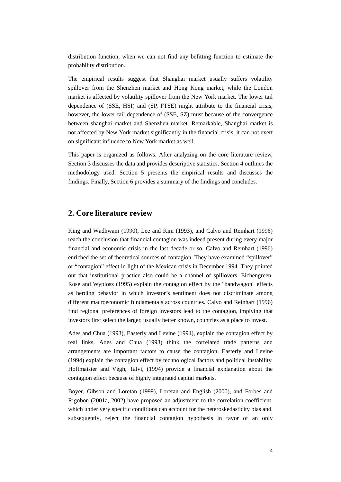distribution function, when we can not find any befitting function to estimate the probability distribution.

The empirical results suggest that Shanghai market usually suffers volatility spillover from the Shenzhen market and Hong Kong market, while the London market is affected by volatility spillover from the New York market. The lower tail dependence of (SSE, HSI) and (SP, FTSE) might attribute to the financial crisis, however, the lower tail dependence of (SSE, SZ) must because of the convergence between shanghai market and Shenzhen market. Remarkable, Shanghai market is not affected by New York market significantly in the financial crisis, it can not exert on significant influence to New York market as well.

This paper is organized as follows. After analyzing on the core literature review, Section 3 discusses the data and provides descriptive statistics. Section 4 outlines the methodology used. Section 5 presents the empirical results and discusses the findings. Finally, Section 6 provides a summary of the findings and concludes.

# **2. Core literature review**

King and Wadhwani (1990), Lee and Kim (1993), and Calvo and Reinhart (1996) reach the conclusion that financial contagion was indeed present during every major financial and economic crisis in the last decade or so. Calvo and Reinhart (1996) enriched the set of theoretical sources of contagion. They have examined "spillover" or "contagion" effect in light of the Mexican crisis in December 1994. They pointed out that institutional practice also could be a channel of spillovers. Eichengreen, Rose and Wyplosz (1995) explain the contagion effect by the "bandwagon" effects as herding behavior in which investor's sentiment does not discriminate among different macroeconomic fundamentals across countries. Calvo and Reinhart (1996) find regional preferences of foreign investors lead to the contagion, implying that investors first select the larger, usually better known, countries as a place to invest.

Ades and Chua (1993), Easterly and Levine (1994), explain the contagion effect by real links. Ades and Chua (1993) think the correlated trade patterns and arrangements are important factors to cause the contagion. Easterly and Levine (1994) explain the contagion effect by technological factors and political instability. Hoffmaister and Végh, Talvi, (1994) provide a financial explanation about the contagion effect because of highly integrated capital markets.

Boyer, Gibson and Loretan (1999), Loretan and English (2000), and Forbes and Rigobon (2001a, 2002) have proposed an adjustment to the correlation coefficient, which under very specific conditions can account for the heteroskedasticity bias and, subsequently, reject the financial contagion hypothesis in favor of an only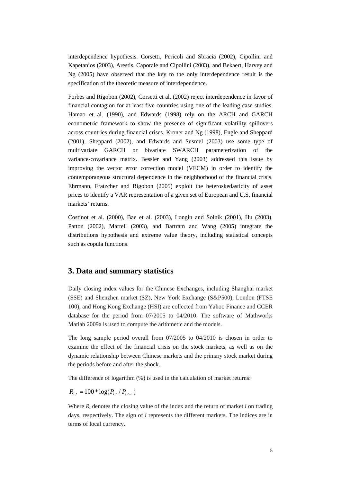interdependence hypothesis. Corsetti, Pericoli and Sbracia (2002), Cipollini and Kapetanios (2003), Arestis, Caporale and Cipollini (2003), and Bekaert, Harvey and Ng (2005) have observed that the key to the only interdependence result is the specification of the theoretic measure of interdependence.

Forbes and Rigobon (2002), Corsetti et al. (2002) reject interdependence in favor of financial contagion for at least five countries using one of the leading case studies. Hamao et al. (1990), and Edwards (1998) rely on the ARCH and GARCH econometric framework to show the presence of significant volatility spillovers across countries during financial crises. Kroner and Ng (1998), Engle and Sheppard (2001), Sheppard (2002), and Edwards and Susmel (2003) use some type of multivariate GARCH or bivariate SWARCH parameterization of the variance-covariance matrix. Bessler and Yang (2003) addressed this issue by improving the vector error correction model (VECM) in order to identify the contemporaneous structural dependence in the neighborhood of the financial crisis. Ehrmann, Fratzcher and Rigobon (2005) exploit the heteroskedasticity of asset prices to identify a VAR representation of a given set of European and U.S. financial markets' returns.

Costinot et al. (2000), Bae et al. (2003), Longin and Solnik (2001), Hu (2003), Patton (2002), Martell (2003), and Bartram and Wang (2005) integrate the distributions hypothesis and extreme value theory, including statistical concepts such as copula functions.

# **3. Data and summary statistics**

Daily closing index values for the Chinese Exchanges, including Shanghai market (SSE) and Shenzhen market (SZ), New York Exchange (S&P500), London (FTSE 100), and Hong Kong Exchange (HSI) are collected from Yahoo Finance and CCER database for the period from 07/2005 to 04/2010. The software of Mathworks Matlab 2009a is used to compute the arithmetic and the models.

The long sample period overall from 07/2005 to 04/2010 is chosen in order to examine the effect of the financial crisis on the stock markets, as well as on the dynamic relationship between Chinese markets and the primary stock market during the periods before and after the shock.

The difference of logarithm (%) is used in the calculation of market returns:

 $R_{i,t} = 100 * log(P_{i,t}/P_{i,t-1})$ 

Where *Rt* denotes the closing value of the index and the return of market *i* on trading days, respectively. The sign of *i* represents the different markets. The indices are in terms of local currency.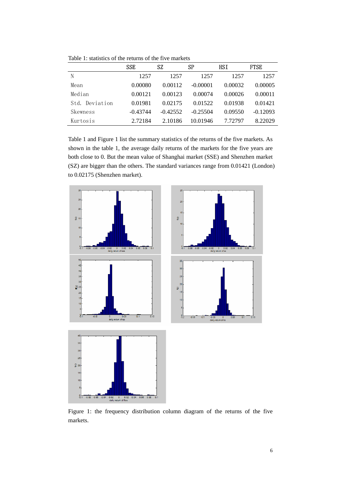|                | <b>SSE</b> | SZ         | SP         | HSI     | <b>FTSE</b> |
|----------------|------------|------------|------------|---------|-------------|
| N              | 1257       | 1257       | 1257       | 1257    | 1257        |
| Mean           | 0.00080    | 0.00112    | $-0.00001$ | 0.00032 | 0.00005     |
| Median         | 0.00121    | 0.00123    | 0.00074    | 0.00026 | 0.00011     |
| Std. Deviation | 0.01981    | 0.02175    | 0.01522    | 0.01938 | 0.01421     |
| Skewness       | $-0.43744$ | $-0.42552$ | $-0.25504$ | 0.09550 | $-0.12093$  |
| Kurtosis       | 2.72184    | 2.10186    | 10.01946   | 7.72797 | 8.22029     |

Table 1: statistics of the returns of the five markets

Table 1 and Figure 1 list the summary statistics of the returns of the five markets. As shown in the table 1, the average daily returns of the markets for the five years are both close to 0. But the mean value of Shanghai market (SSE) and Shenzhen market (SZ) are bigger than the others. The standard variances range from 0.01421 (London) to 0.02175 (Shenzhen market).



Figure 1: the frequency distribution column diagram of the returns of the five markets.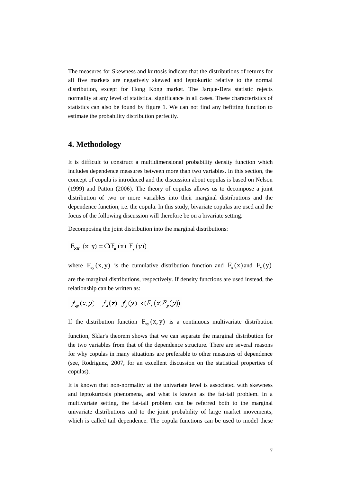The measures for Skewness and kurtosis indicate that the distributions of returns for all five markets are negatively skewed and leptokurtic relative to the normal distribution, except for Hong Kong market. The Jarque-Bera statistic rejects normality at any level of statistical significance in all cases. These characteristics of statistics can also be found by figure 1. We can not find any befitting function to estimate the probability distribution perfectly.

# **4. Methodology**

It is difficult to construct a multidimensional probability density function which includes dependence measures between more than two variables. In this section, the concept of copula is introduced and the discussion about copulas is based on Nelson (1999) and Patton (2006). The theory of copulas allows us to decompose a joint distribution of two or more variables into their marginal distributions and the dependence function, i.e. the copula. In this study, bivariate copulas are used and the focus of the following discussion will therefore be on a bivariate setting.

Decomposing the joint distribution into the marginal distributions:

$$
F_{XY} (x, y) = C(F_x (x), F_y (y))
$$

where  $F_{xy}(x, y)$  is the cumulative distribution function and  $F_{x}(x)$  and  $F_{y}(y)$ are the marginal distributions, respectively. If density functions are used instead, the relationship can be written as:

$$
f_{xy}(x, y) = f_x(x) \cdot f_y(y) \cdot c(F_x(x) F_y(y))
$$

If the distribution function  $F_{xy}(x, y)$  is a continuous multivariate distribution

function, Sklar's theorem shows that we can separate the marginal distribution for the two variables from that of the dependence structure. There are several reasons for why copulas in many situations are preferable to other measures of dependence (see, Rodriguez, 2007, for an excellent discussion on the statistical properties of copulas).

It is known that non-normality at the univariate level is associated with skewness and leptokurtosis phenomena, and what is known as the fat-tail problem. In a multivariate setting, the fat-tail problem can be referred both to the marginal univariate distributions and to the joint probability of large market movements, which is called tail dependence. The copula functions can be used to model these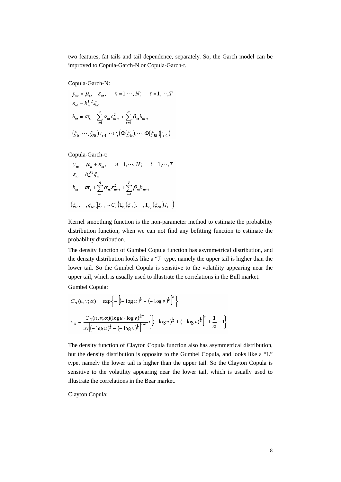two features, fat tails and tail dependence, separately. So, the Garch model can be improved to Copula-Garch-N or Copula-Garch-t.

Copula-Garch-N:

$$
y_m = \mu_m + \varepsilon_m, \qquad n = 1, \dots, N; \qquad t = 1, \dots, T
$$
  

$$
\varepsilon_m = h_m^{1/2} \xi_m
$$
  

$$
h_m = \varpi_n + \sum_{i=1}^q \alpha_m \varepsilon_{m-i}^2 + \sum_{i=1}^p \beta_m h_{m-i}
$$
  

$$
(\xi_1, \dots, \xi_M) | I_{t-1} \sim C_t (\Phi(\xi_1), \dots, \Phi(\xi_M) | I_{t-1})
$$

Copula-Garch-t:

$$
y_m = \mu_m + \varepsilon_m, \qquad n = 1, \dots, N; \qquad t = 1, \dots, T
$$
  
\n
$$
\varepsilon_m = h_m^{1/2} \xi_m
$$
  
\n
$$
h_m = \varpi_n + \sum_{i=1}^q \alpha_m \varepsilon_{m-i}^2 + \sum_{i=1}^p \beta_m h_{m-i}
$$
  
\n
$$
(\xi_L, \dots, \xi_M) | I_{t-1} \sim C_t \left( \mathbf{T}_{\nu_i} (\xi_L), \dots, \mathbf{T}_{\nu_N} (\xi_M) | I_{t-1} \right)
$$

Kernel smoothing function is the non-parameter method to estimate the probability distribution function, when we can not find any befitting function to estimate the probability distribution.

The density function of Gumbel Copula function has asymmetrical distribution, and the density distribution looks like a "J" type, namely the upper tail is higher than the lower tail. So the Gumbel Copula is sensitive to the volatility appearing near the upper tail, which is usually used to illustrate the correlations in the Bull market.

Gumbel Copula:

$$
C_G(u, v; \alpha) = \exp\left\{-\left[(-\log u)^{\frac{1}{\beta}} + (-\log v)^{\frac{1}{\beta}}\right]^{2}\right\}
$$
  

$$
C_G = \frac{C_G(u, v; \alpha)(\log u \cdot \log v)^{\frac{1}{\alpha}-1}}{uv\left[(-\log u)^{\frac{1}{\alpha}} + (-\log v)^{\frac{1}{\alpha}}\right]^{2-\alpha}}\left\{\left[(-\log u)^{\frac{1}{\alpha}} + (-\log v)^{\frac{1}{\alpha}}\right]^{2} + \frac{1}{\alpha}-1\right\}
$$

The density function of Clayton Copula function also has asymmetrical distribution, but the density distribution is opposite to the Gumbel Copula, and looks like a "L" type, namely the lower tail is higher than the upper tail. So the Clayton Copula is sensitive to the volatility appearing near the lower tail, which is usually used to illustrate the correlations in the Bear market.

Clayton Copula: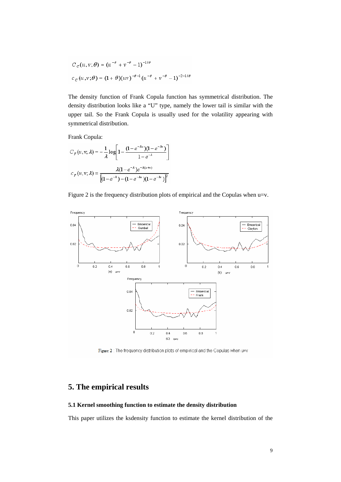$$
C_C(u, v; \theta) = (u^{-\theta} + v^{-\theta} - 1)^{-1/\theta}
$$
  

$$
C_C(u, v; \theta) = (1 + \theta)(uv)^{-\theta - 1}(u^{-\theta} + v^{-\theta} - 1)^{-2 - 1/\theta}
$$

The density function of Frank Copula function has symmetrical distribution. The density distribution looks like a "U" type, namely the lower tail is similar with the upper tail. So the Frank Copula is usually used for the volatility appearing with symmetrical distribution.

Frank Copula:

$$
C_F(u, v; \lambda) = -\frac{1}{\lambda} \log \left[ 1 - \frac{(1 - e^{-\lambda u})(1 - e^{-\lambda v})}{1 - e^{-\lambda}} \right]
$$

$$
C_F(u, v; \lambda) = \frac{\lambda (1 - e^{-\lambda}) e^{-\lambda (u + v)}}{\left[ (1 - e^{-\lambda}) - (1 - e^{-\lambda u})(1 - e^{-\lambda v}) \right]^2}
$$

Figure 2 is the frequency distribution plots of empirical and the Copulas when u=v.



Figure 2 : The frequency distribution plots of empirical and the Copulas when u=v

# **5. The empirical results**

## **5.1 Kernel smoothing function to estimate the density distribution**

This paper utilizes the ksdensity function to estimate the kernel distribution of the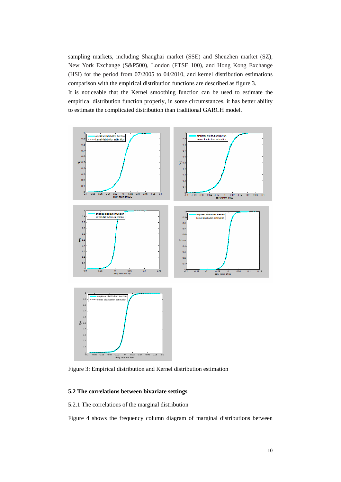sampling markets, including Shanghai market (SSE) and Shenzhen market (SZ), New York Exchange (S&P500), London (FTSE 100), and Hong Kong Exchange (HSI) for the period from 07/2005 to 04/2010, and kernel distribution estimations comparison with the empirical distribution functions are described as figure 3. It is noticeable that the Kernel smoothing function can be used to estimate the empirical distribution function properly, in some circumstances, it has better ability to estimate the complicated distribution than traditional GARCH model.



Figure 3: Empirical distribution and Kernel distribution estimation

## **5.2 The correlations between bivariate settings**

5.2.1 The correlations of the marginal distribution

Figure 4 shows the frequency column diagram of marginal distributions between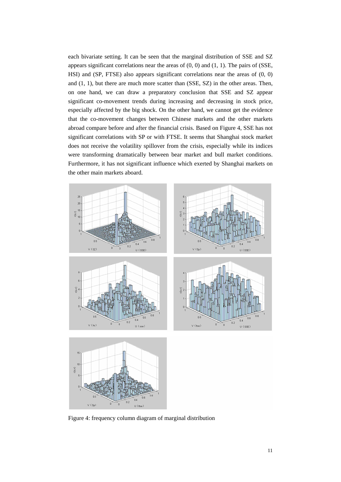each bivariate setting. It can be seen that the marginal distribution of SSE and SZ appears significant correlations near the areas of  $(0, 0)$  and  $(1, 1)$ . The pairs of (SSE, HSI) and (SP, FTSE) also appears significant correlations near the areas of (0, 0) and (1, 1), but there are much more scatter than (SSE, SZ) in the other areas. Then, on one hand, we can draw a preparatory conclusion that SSE and SZ appear significant co-movement trends during increasing and decreasing in stock price, especially affected by the big shock. On the other hand, we cannot get the evidence that the co-movement changes between Chinese markets and the other markets abroad compare before and after the financial crisis. Based on Figure 4, SSE has not significant correlations with SP or with FTSE. It seems that Shanghai stock market does not receive the volatility spillover from the crisis, especially while its indices were transforming dramatically between bear market and bull market conditions. Furthermore, it has not significant influence which exerted by Shanghai markets on the other main markets aboard.



Figure 4: frequency column diagram of marginal distribution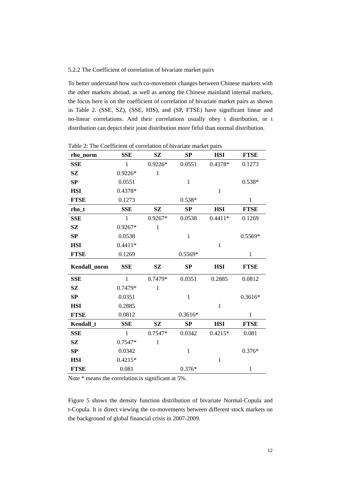## 5.2.2 The Coefficient of correlation of bivariate market pairs

To better understand how such co-movement changes between Chinese markets with the other markets abroad, as well as among the Chinese mainland internal markets, the focus here is on the coefficient of correlation of bivariate market pairs as shown in Table 2. (SSE, SZ), (SSE, HIS), and (SP, FTSE) have significant linear and no-linear correlations. And their correlations usually obey t distribution, or t distribution can depict their joint distribution more fitful than normal distribution.

| rho_norm     | <b>SSE</b>   | SZ           | SP           | <b>HSI</b>   | <b>FTSE</b>  |
|--------------|--------------|--------------|--------------|--------------|--------------|
| <b>SSE</b>   | 1            | $0.9226*$    | 0.0551       | 0.4378*      | 0.1273       |
| SZ           | $0.9226*$    | $\mathbf{1}$ |              |              |              |
| SP           | 0.0551       |              | $\mathbf{1}$ |              | $0.538*$     |
| <b>HSI</b>   | 0.4378*      |              |              | $\mathbf{1}$ |              |
| <b>FTSE</b>  | 0.1273       |              | $0.538*$     |              | $\mathbf{1}$ |
| rho_t        | <b>SSE</b>   | SZ           | SP           | <b>HSI</b>   | <b>FTSE</b>  |
| <b>SSE</b>   | 1            | $0.9267*$    | 0.0538       | $0.4411*$    | 0.1269       |
| SZ           | $0.9267*$    | $\mathbf{1}$ |              |              |              |
| SP           | 0.0538       |              | $\mathbf{1}$ |              | $0.5569*$    |
| <b>HSI</b>   | $0.4411*$    |              |              | $\mathbf{1}$ |              |
| <b>FTSE</b>  | 0.1269       |              | 0.5569*      |              | $\mathbf{1}$ |
|              |              |              |              |              |              |
| Kendall_norm | <b>SSE</b>   | SZ           | SP           | <b>HSI</b>   | <b>FTSE</b>  |
| <b>SSE</b>   | $\mathbf{1}$ | 0.7479*      | 0.0351       | 0.2885       | 0.0812       |
| SZ           | 0.7479*      | $\mathbf{1}$ |              |              |              |
| SP           | 0.0351       |              | $\mathbf{1}$ |              | $0.3616*$    |
| <b>HSI</b>   | 0.2885       |              |              | $\mathbf{1}$ |              |
| <b>FTSE</b>  | 0.0812       |              | $0.3616*$    |              | 1            |
| Kendall_t    | <b>SSE</b>   | SZ           | SP           | <b>HSI</b>   | <b>FTSE</b>  |
| <b>SSE</b>   | $\mathbf{1}$ | 0.7547*      | 0.0342       | $0.4215*$    | 0.081        |
| SZ           | $0.7547*$    | $\mathbf{1}$ |              |              |              |
| SP           | 0.0342       |              | $\mathbf{1}$ |              | $0.376*$     |
| <b>HSI</b>   | $0.4215*$    |              |              | $\mathbf{1}$ |              |

Table 2: The Coefficient of correlation of bivariate market pairs

Note \* means the correlation is significant at 5%.

Figure 5 shows the density function distribution of bivariate Normal-Copula and t-Copula. It is direct viewing the co-movements between different stock markets on the background of global financial crisis in 2007-2009.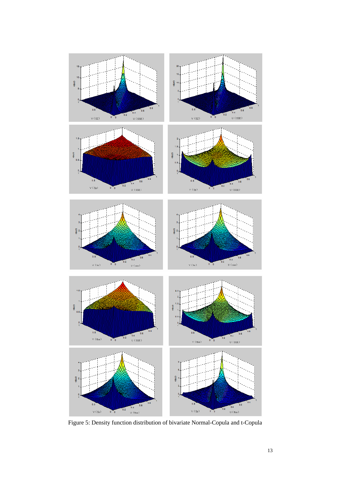

Figure 5: Density function distribution of bivariate Normal-Copula and t-Copula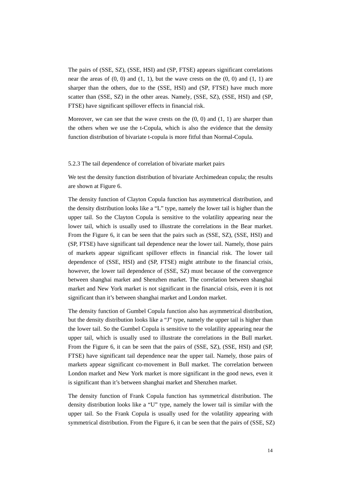The pairs of (SSE, SZ), (SSE, HSI) and (SP, FTSE) appears significant correlations near the areas of  $(0, 0)$  and  $(1, 1)$ , but the wave crests on the  $(0, 0)$  and  $(1, 1)$  are sharper than the others, due to the (SSE, HSI) and (SP, FTSE) have much more scatter than (SSE, SZ) in the other areas. Namely, (SSE, SZ), (SSE, HSI) and (SP, FTSE) have significant spillover effects in financial risk.

Moreover, we can see that the wave crests on the  $(0, 0)$  and  $(1, 1)$  are sharper than the others when we use the t-Copula, which is also the evidence that the density function distribution of bivariate t-copula is more fitful than Normal-Copula.

### 5.2.3 The tail dependence of correlation of bivariate market pairs

We test the density function distribution of bivariate Archimedean copula; the results are shown at Figure 6.

The density function of Clayton Copula function has asymmetrical distribution, and the density distribution looks like a "L" type, namely the lower tail is higher than the upper tail. So the Clayton Copula is sensitive to the volatility appearing near the lower tail, which is usually used to illustrate the correlations in the Bear market. From the Figure 6, it can be seen that the pairs such as (SSE, SZ), (SSE, HSI) and (SP, FTSE) have significant tail dependence near the lower tail. Namely, those pairs of markets appear significant spillover effects in financial risk. The lower tail dependence of (SSE, HSI) and (SP, FTSE) might attribute to the financial crisis, however, the lower tail dependence of (SSE, SZ) must because of the convergence between shanghai market and Shenzhen market. The correlation between shanghai market and New York market is not significant in the financial crisis, even it is not significant than it's between shanghai market and London market.

The density function of Gumbel Copula function also has asymmetrical distribution, but the density distribution looks like a "J" type, namely the upper tail is higher than the lower tail. So the Gumbel Copula is sensitive to the volatility appearing near the upper tail, which is usually used to illustrate the correlations in the Bull market. From the Figure 6, it can be seen that the pairs of (SSE, SZ), (SSE, HSI) and (SP, FTSE) have significant tail dependence near the upper tail. Namely, those pairs of markets appear significant co-movement in Bull market. The correlation between London market and New York market is more significant in the good news, even it is significant than it's between shanghai market and Shenzhen market.

The density function of Frank Copula function has symmetrical distribution. The density distribution looks like a "U" type, namely the lower tail is similar with the upper tail. So the Frank Copula is usually used for the volatility appearing with symmetrical distribution. From the Figure 6, it can be seen that the pairs of (SSE, SZ)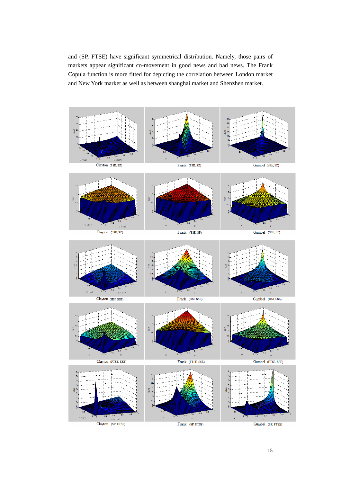and (SP, FTSE) have significant symmetrical distribution. Namely, those pairs of markets appear significant co-movement in good news and bad news. The Frank Copula function is more fitted for depicting the correlation between London market and New York market as well as between shanghai market and Shenzhen market.

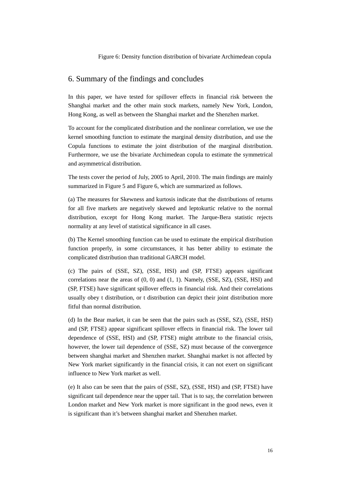# 6. Summary of the findings and concludes

In this paper, we have tested for spillover effects in financial risk between the Shanghai market and the other main stock markets, namely New York, London, Hong Kong, as well as between the Shanghai market and the Shenzhen market.

To account for the complicated distribution and the nonlinear correlation, we use the kernel smoothing function to estimate the marginal density distribution, and use the Copula functions to estimate the joint distribution of the marginal distribution. Furthermore, we use the bivariate Archimedean copula to estimate the symmetrical and asymmetrical distribution.

The tests cover the period of July, 2005 to April, 2010. The main findings are mainly summarized in Figure 5 and Figure 6, which are summarized as follows.

(a) The measures for Skewness and kurtosis indicate that the distributions of returns for all five markets are negatively skewed and leptokurtic relative to the normal distribution, except for Hong Kong market. The Jarque-Bera statistic rejects normality at any level of statistical significance in all cases.

(b) The Kernel smoothing function can be used to estimate the empirical distribution function properly, in some circumstances, it has better ability to estimate the complicated distribution than traditional GARCH model.

(c) The pairs of (SSE, SZ), (SSE, HSI) and (SP, FTSE) appears significant correlations near the areas of  $(0, 0)$  and  $(1, 1)$ . Namely,  $(SSE, SZ)$ ,  $(SSE, HSI)$  and (SP, FTSE) have significant spillover effects in financial risk. And their correlations usually obey t distribution, or t distribution can depict their joint distribution more fitful than normal distribution.

(d) In the Bear market, it can be seen that the pairs such as (SSE, SZ), (SSE, HSI) and (SP, FTSE) appear significant spillover effects in financial risk. The lower tail dependence of (SSE, HSI) and (SP, FTSE) might attribute to the financial crisis, however, the lower tail dependence of (SSE, SZ) must because of the convergence between shanghai market and Shenzhen market. Shanghai market is not affected by New York market significantly in the financial crisis, it can not exert on significant influence to New York market as well.

(e) It also can be seen that the pairs of (SSE, SZ), (SSE, HSI) and (SP, FTSE) have significant tail dependence near the upper tail. That is to say, the correlation between London market and New York market is more significant in the good news, even it is significant than it's between shanghai market and Shenzhen market.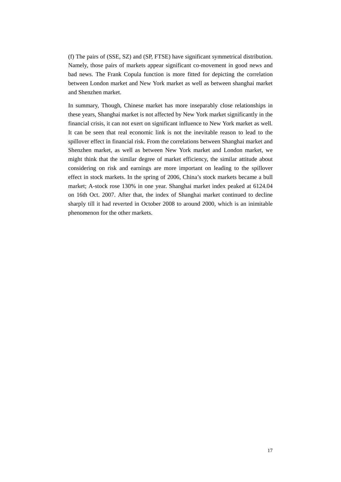(f) The pairs of (SSE, SZ) and (SP, FTSE) have significant symmetrical distribution. Namely, those pairs of markets appear significant co-movement in good news and bad news. The Frank Copula function is more fitted for depicting the correlation between London market and New York market as well as between shanghai market and Shenzhen market.

In summary, Though, Chinese market has more inseparably close relationships in these years, Shanghai market is not affected by New York market significantly in the financial crisis, it can not exert on significant influence to New York market as well. It can be seen that real economic link is not the inevitable reason to lead to the spillover effect in financial risk. From the correlations between Shanghai market and Shenzhen market, as well as between New York market and London market, we might think that the similar degree of market efficiency, the similar attitude about considering on risk and earnings are more important on leading to the spillover effect in stock markets. In the spring of 2006, China's stock markets became a bull market; A-stock rose 130% in one year. Shanghai market index peaked at 6124.04 on 16th Oct. 2007. After that, the index of Shanghai market continued to decline sharply till it had reverted in October 2008 to around 2000, which is an inimitable phenomenon for the other markets.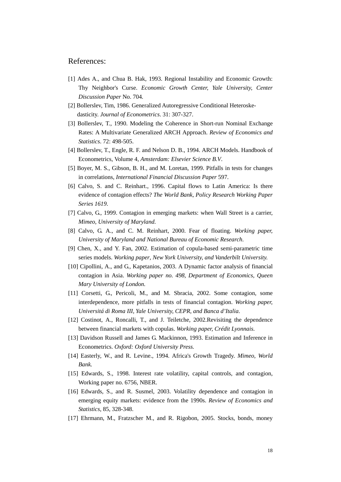## References:

- [1] Ades A., and Chua B. Hak, 1993. Regional Instability and Economic Growth: Thy Neighbor's Curse. *Economic Growth Center, Yale University, Center Discussion Paper* No. 704*.*
- [2] Bollerslev, Tim, 1986. Generalized Autoregressive Conditional Heteroskedasticity. *Journal of Econometrics*. 31: 307-327.
- [3] Bollerslev, T., 1990. Modeling the Coherence in Short-run Nominal Exchange Rates: A Multivariate Generalized ARCH Approach. *Review of Economics and Statistics*. 72: 498-505.
- [4] Bollerslev, T., Engle, R. F. and Nelson D. B., 1994. ARCH Models. Handbook of Econometrics, Volume 4, *Amsterdam: Elsevier Science B.V*.
- [5] Boyer, M. S., Gibson, B. H., and M. Loretan, 1999. Pitfalls in tests for changes in correlations, *International Financial Discussion Paper* 597.
- [6] Calvo, S. and C. Reinhart., 1996. Capital flows to Latin America: Is there evidence of contagion effects? *The World Bank, Policy Research Working Paper Series 1619*.
- [7] Calvo, G., 1999. Contagion in emerging markets: when Wall Street is a carrier, *Mimeo, University of Maryland.*
- [8] Calvo, G. A., and C. M. Reinhart, 2000. Fear of floating. *Working paper, University of Maryland and National Bureau of Economic Research*.
- [9] Chen, X., and Y. Fan, 2002. Estimation of copula-based semi-parametric time series models. *Working paper*, *New York University, and Vanderbilt University.*
- [10] Cipollini, A., and G., Kapetanios, 2003. A Dynamic factor analysis of financial contagion in Asia. *Working paper no. 498, Department of Economics, Queen Mary University of London.*
- [11] Corsetti, G., Pericoli, M., and M. Sbracia, 2002. Some contagion, some interdependence, more pitfalls in tests of financial contagion. *Working paper, Universitá di Roma III, Yale University, CEPR, and Banca d'Italia*.
- [12] Costinot, A., Roncalli, T., and J. Teiletche, 2002.Revisiting the dependence between financial markets with copulas. *Working paper, Crédit Lyonnais*.
- [13] Davidson Russell and James G. Mackinnon, 1993. Estimation and Inference in Econometrics. *Oxford: Oxford University Press.*
- [14] Easterly, W., and R. Levine., 1994. Africa's Growth Tragedy. *Mimeo, World Bank.*
- [15] Edwards, S., 1998. Interest rate volatility, capital controls, and contagion, Working paper no. 6756, NBER.
- [16] Edwards, S., and R. Susmel, 2003. Volatility dependence and contagion in emerging equity markets: evidence from the 1990s. *Review of Economics and Statistics*, 85, 328-348.
- [17] Ehrmann, M., Fratzscher M., and R. Rigobon, 2005. Stocks, bonds, money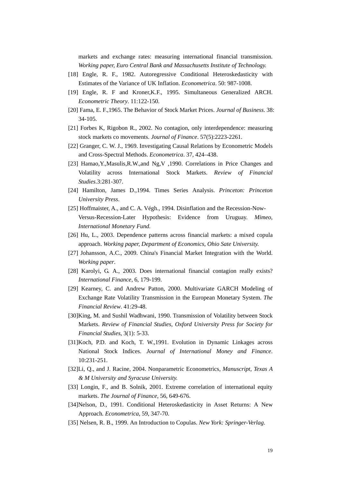markets and exchange rates: measuring international financial transmission. *Working paper, Euro Central Bank and Massachusetts Institute of Technology.* 

- [18] Engle, R. F., 1982. Autoregressive Conditional Heteroskedasticity with Estimates of the Variance of UK Inflation. *Econometrica*. 50: 987-1008.
- [19] Engle, R. F and Kroner,K.F., 1995. Simultaneous Generalized ARCH. *Econometric Theory*. 11:122-150.
- [20] Fama, E. F.,1965. The Behavior of Stock Market Prices. *Journal of Business*. 38: 34-105.
- [21] Forbes K, Rigobon R., 2002. No contagion, only interdependence: measuring stock markets co movements. *Journal of Finance*. 57(5):2223-2261.
- [22] Granger, C. W. J., 1969. Investigating Causal Relations by Econometric Models and Cross-Spectral Methods. *Econometrica*. 37, 424–438.
- [23] Hamao,Y.,Masulis,R.W.,and Ng,V ,1990. Correlations in Price Changes and Volatility across International Stock Markets. *Review of Financial Studies*.3:281-307.
- [24] Hamilton, James D.,1994. Times Series Analysis. *Princeton: Princeton University Press*.
- [25] Hoffmaister, A., and C. A. Végh., 1994. Disinflation and the Recession-Now-Versus-Recession-Later Hypothesis: Evidence from Uruguay. *Mimeo, International Monetary Fund.*
- [26] Hu, L., 2003. Dependence patterns across financial markets: a mixed copula approach. *Working paper, Department of Economics, Ohio Sate University.*
- [27] Johansson, A.C., 2009. China's Financial Market Integration with the World. *Working paper*.
- [28] Karolyi, G. A., 2003. Does international financial contagion really exists? *International Finance*, 6, 179-199.
- [29] Kearney, C. and Andrew Patton, 2000. Multivariate GARCH Modeling of Exchange Rate Volatility Transmission in the European Monetary System. *The Financial Review*. 41:29-48.
- [30]King, M. and Sushil Wadhwani, 1990. Transmission of Volatility between Stock Markets. *Review of Financial Studies, Oxford University Press for Society for Financial Studies*, 3(1): 5-33.
- [31]Koch, P.D. and Koch, T. W., 1991. Evolution in Dynamic Linkages across National Stock Indices. *Journal of International Money and Finance*. 10:231-251.
- [32]Li, Q., and J. Racine, 2004. Nonparametric Econometrics, *Manuscript, Texas A & M University and Syracuse University.*
- [33] Longin, F., and B. Solnik, 2001. Extreme correlation of international equity markets. *The Journal of Finance*, 56, 649-676.
- [34]Nelson, D., 1991. Conditional Heteroskedasticity in Asset Returns: A New Approach*. Econometrica*, 59, 347-70.
- [35] Nelsen, R. B., 1999. An Introduction to Copulas. *New York: Springer-Verlag*.